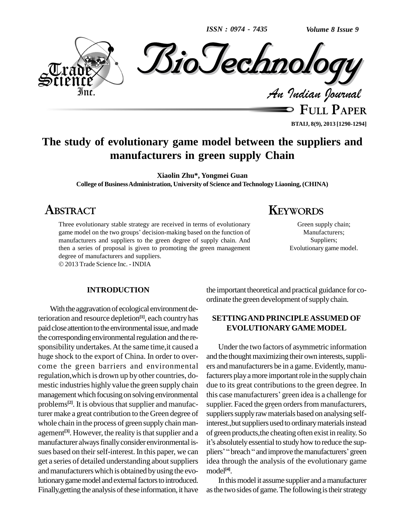*ISSN : 0974 - 7435*

*Volume 8 Issue 9*



**FULL PAPER BTAIJ, 8(9), 2013 [1290-1294]**

Green supply chain; Manufacturers; Suppliers; Evolutionary game model.

# **The study of evolutionary game model between the suppliers and manufacturers in green supply Chain**

**Xiaolin Zhu\*, Yongmei Guan**

**College of BusinessAdministration, University of Science andTechnology Liaoning, (CHINA)**

# **ABSTRACT**

Three evolutionary stable strategy are received in terms of evolutionary game model on the two groups' decision-making based on the function of manufacturers and suppliers to the green degree of supply chain. And then a series of proposal is given to promoting the green management degree of manufacturers and suppliers.

2013 Trade Science Inc. - INDIA

#### **INTRODUCTION**

With the aggravation of ecological environment deterioration and resource depletion **[1]**, each countryhas paid close attention to the environmental issue, and made the corresponding environmental regulation and the responsibility undertakes.At the same time,it caused a huge shock to the export of China. In order to over come the green barriers and environmental regulation, which is drown up by other countries, domestic industries highly value the green supply chain management which focusing on solving environmental problems<sup>[2]</sup>. It is obvious that supplier and manufacturer make a great contribution to the Green degree of whole chain in the process of green supplychain man agement<sup>[3]</sup>. However, the reality is that supplier and a of gree manufacturer always finally consider environmental is- it's absolutely essential to study how to reduce the supsues based on their self-interest. In this paper, we can get a series of detailed understanding about suppliers and manufacturers which is obtained by using the evolutionary game model and external factors to introduced. Finally, getting the analysis of these information, it have

the important theoretical and practical guidance for co-

**KEYWORDS**

## **SETTINGAND PRINCIPLEASSUMED OF EVOLUTIONARYGAME MODEL**

ordinate the green development of supply chain.

Under the two factors of asymmetric information and the thought maximizing their own interests, suppliers andmanufacturers be in a game. Evidently, manufacturers play a more important role in the supply chain due to its great contributions to the green degree. In this case manufacturers' green idea is a challenge for supplier. Faced the green orders from manufacturers, suppliers supply raw materials based on analysing selfinterest.,but suppliers used to ordinary materials instead<br>of green products,the cheating often exist in reality. So<br>it's absolutely essential to study how to reduce the supof green products,the cheating often exist in reality. So pliers' "breach " and improve the manufacturers' green idea through the analysis of the evolutionary game model **[4]**.

In thismodel it assume supplier and amanufacturer as the two sides of game. The following is their strategy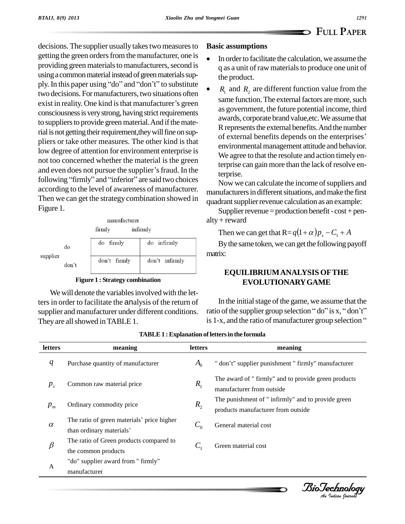decisions. The supplier usually takes two measures to getting the green orders from the manufacturer, one is providing green materials to manufacturers, second is using a common material instead of green materials supply. In this paper using "do" and "don't" to substitute two decisions. For manufacturers, two situations often exist in reality. One kind is that manufacturer's green consciousness is very strong, having strict requirements to suppliers to provide green material. And if the material is not getting their requirement, they will fine on suppliers or take other measures. The other kind is that low degree of attention for environment enterprise is not too concerned whether the material is the green and even does not pursue the supplier's fraud. In the following "firmly" and "inferior" are said two choices according to the level of awareness of manufacturer. Then we can get the strategy combination showed in Figure 1.

| manufacturer |
|--------------|
| infirmly     |
|              |

| supplier | do    | do firmly    | do infirmly    |
|----------|-------|--------------|----------------|
|          | don't | don't firmly | don't infirmly |

**Figure 1: Strategy combination** 

We will denote the variables involved with the letters in order to facilitate the analysis of the return of supplier and manufacturer under different conditions. They are all showed in TABLE 1.

## **Basic assumptions**

- In order to facilitate the calculation, we assume the q as a unit of raw materials to produce one unit of the product.
- $R_1$  and  $R_2$  are different function value from the same function. The external factors are more, such as government, the future potential income, third awards, corporate brand value, etc. We assume that R represents the external benefits. And the number of external benefits depends on the enterprises' environmental management attitude and behavior. We agree to that the resolute and action timely enterprise can gain more than the lack of resolve enterprise.

Now we can calculate the income of suppliers and manufacturers in different situations, and make the first quadrant supplier revenue calculation as an example:

Supplier revenue = production benefit -  $cost + pen$  $alty + reward$ 

Then we can get that  $R = q(1+\alpha)p_s - C_1 + A$ 

By the same token, we can get the following payoff matrix:

## **EQUILIBRIUM ANALYSIS OF THE EVOLUTIONARY GAME**

In the initial stage of the game, we assume that the ratio of the supplier group selection "do" is x, "don't" is 1-x, and the ratio of manufacturer group selection "

| letters  | meaning                                                                | <b>letters</b> | meaning                                                                                  |
|----------|------------------------------------------------------------------------|----------------|------------------------------------------------------------------------------------------|
| q        | Purchase quantity of manufacturer                                      | $A_0$          | " don't" supplier punishment " firmly" manufacturer                                      |
| $P_{s}$  | Common raw material price                                              | $R_{1}$        | The award of " firmly" and to provide green products<br>manufacturer from outside        |
| $p_{m}$  | Ordinary commodity price                                               | $R_{2}$        | The punishment of " infirmly" and to provide green<br>products manufacturer from outside |
| $\alpha$ | The ratio of green materials' price higher<br>than ordinary materials' | $C_0$          | General material cost                                                                    |
| $\beta$  | The ratio of Green products compared to<br>the common products         | $C_{1}$        | Green material cost                                                                      |
| A        | "do" supplier award from " firmly"<br>manufacturer                     |                |                                                                                          |

#### **TABLE 1: Explanation of letters in the formula**

BioTechnology<br>An Indian Journal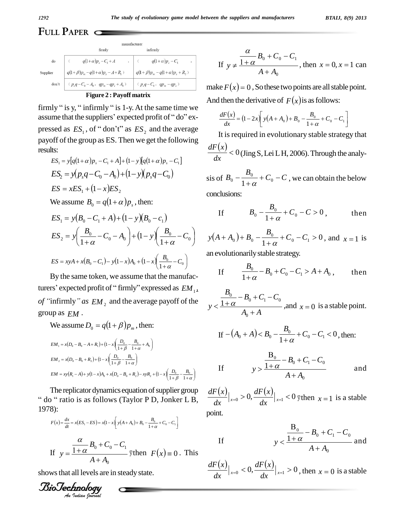# FULL PAPER  $\subset$

|                                                                                                          | firmly                                 | infirmly                                                                                                                                          |  |  |
|----------------------------------------------------------------------------------------------------------|----------------------------------------|---------------------------------------------------------------------------------------------------------------------------------------------------|--|--|
| do                                                                                                       | $q(1+\alpha)p_s - C_1 + A$             | $q(1+\alpha)p_s - C_1$                                                                                                                            |  |  |
| Supplier                                                                                                 | $q(1+\beta)p_m-q(1+\alpha)p_s-A+R_1$ ) | $\left \right. q({\bf l}+ \beta) p_{\scriptscriptstyle m} - q({\bf l}+ \alpha) p_{\scriptscriptstyle s} + R_{\scriptscriptstyle 2} \left.\right)$ |  |  |
| $\left(\begin{array}{cc} p_s q - C_0 - A_0 \end{array}, \hspace{3mm} qp_m - qp_s + A_0 \right)$<br>don't |                                        | $(p_s q - C_0, qp_m - qp_s)$                                                                                                                      |  |  |
|                                                                                                          |                                        |                                                                                                                                                   |  |  |

manufacture

| <b>Figure 2: Payoff matrix</b> |
|--------------------------------|
|                                |

firmly "is y, "infirmly "is 1-y. At the same time we assume that the suppliers' expected profit of "do" expressed as  $ES_1$ , of "don't" as  $ES_2$  and the average payoff of the group as ES. Then we get the following results:

$$
ES_1 = y[q(1+\alpha)p_s - C_1 + A] + (1-y)[q(1+\alpha)p_s - C_1]
$$
  
\n
$$
ES_2 = y(p_sq - C_0 - A_0) + (1-y)(p_sq - C_0)
$$
  
\n
$$
ES = xES_1 + (1-x)ES_2
$$
  
\nWe assume  $B_0 = q(1+\alpha)p_s$ , then:

$$
ES_1 = y(B_0 - C_1 + A) + (1 - y)(B_0 - c_1)
$$
  
\n
$$
ES_2 = y\left(\frac{B_0}{1 + \alpha} - C_0 - A_0\right) + (1 - y)\left(\frac{B_0}{1 + \alpha} - C_0\right)
$$
  
\n
$$
ES = xyA + x(B_0 - C_1) - y(1 - x)A_0 + (1 - x)\left(\frac{B_0}{1 + \alpha} - C_0\right)
$$

By the same token, we assume that the manufacturers' expected profit of "firmly" expressed as  $EM_1$ . of "infirmly" as  $EM$ , and the average payoff of the group as  $EM$ .

We assume  $D_0 = q(1+\beta)p_m$ , then:  $EM_1 = x(D_0 - B_0 - A + R_1) + (1 - x)\left(\frac{D_0}{1 + \beta} - \frac{B_0}{1 + \alpha} + A_0\right)$  $EM_2 = x(D_0 - B_0 + R_2) + (1 - x)\left(\frac{D_0}{1 + B} - \frac{B_0}{1 + \alpha}\right)$  $EM = xy(R_1 - A) + y(1 - x)A_0 + x(D_0 - B_0 + R_2) - xyR_2 + (1 - x)\left(\frac{D_0}{1 + A} - \frac{B_0}{1 + \alpha}\right)$ 

The replicator dynamics equation of supplier group " do " ratio is as follows (Taylor P D, Jonker L B, 1978):

$$
F(x) = \frac{dx}{dt} = x(ES_1 - ES) = x(1 - x) \left[ y(A + A_0) + B_0 - \frac{B_0}{1 + \alpha} + C_0 - C_1 \right]
$$
  
If  $y = \frac{\alpha}{1 + \alpha} B_0 + C_0 - C_1$  *when*  $F(x) = 0$ . This

shows that all levels are in steady state.

If 
$$
y \neq \frac{\frac{\alpha}{1+\alpha}B_0 + C_0 - C_1}{A + A_0}
$$
, then  $x = 0, x = 1$  can

make  $F(x) = 0$ , So these two points are all stable point. And then the derivative of  $F(x)$  is as follows:

$$
\frac{dF(x)}{dx} = (1 - 2x) \left[ y(A + A_0) + B_0 - \frac{B_0}{1 + \alpha} + C_0 - C_1 \right]
$$

It is required in evolutionary stable strategy that  $\frac{dF(x)}{dx}$  < 0 (Jing S, Lei L H, 2006). Through the analy-

sis of  $B_0 - \frac{B_0}{1+\alpha} + C_0 - C$ , we can obtain the below conclusions:

If 
$$
B_0 - \frac{B_0}{1 + \alpha} + C_0 - C > 0
$$
, then

$$
y(A + A_0) + B_0 - \frac{B_0}{1 + \alpha} + C_0 - C_1 > 0
$$
, and  $x = 1$  is

an evolutionarily stable strategy.

If 
$$
\frac{B_0}{1+\alpha} - B_0 + C_0 - C_1 > A + A_0
$$
, then

$$
y < \frac{B_0 - B_0 + C_1 - C_0}{A_0 + A}
$$
, and  $x = 0$  is a stable point.

If 
$$
-(A_0 + A) < B_0 - \frac{B_0}{1 + \alpha} + C_0 - C_1 < 0
$$
, then:

If 
$$
y > \frac{\frac{B_0}{1 + \alpha} - B_0 + C_1 - C_0}{A + A_0}
$$
 and

 $\frac{dF(x)}{dx}\Big|_{x=0} > 0, \frac{dF(x)}{dx}\Big|_{x=1} < 0 \text{ when } x=1 \text{ is a stable}$ point.

If 
$$
y < \frac{\frac{B_0}{1 + \alpha} - B_0 + C_1 - C_0}{A + A_0}
$$
 and

 $\frac{dF(x)}{dx}\Big|_{x=0} < 0, \frac{dF(x)}{dx}\Big|_{x=1} > 0$ , then  $x = 0$  is a stable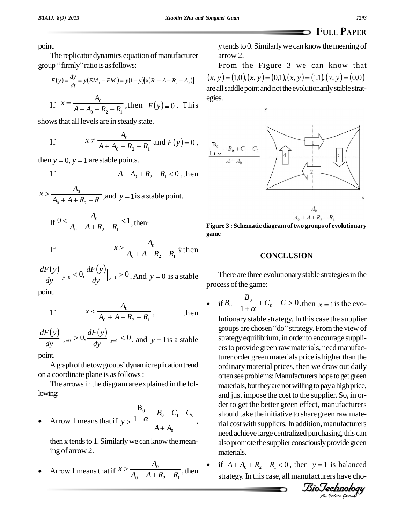1293

point.

The replicator dynamics equation of manufacturer group "firmly" ratio is as follows:

$$
F(y) = \frac{dy}{dt} = y(EM_1 - EM) = y(1 - y)[x(R_1 - A - R_2 - A_0)]
$$

If 
$$
x = \frac{A_0}{A + A_0 + R_2 - R_1}
$$
, then  $F(y) \equiv 0$ . This

shows that all levels are in steady state.

If 
$$
x \neq \frac{A_0}{A + A_0 + R_2 - R_1}
$$
 and  $F(y) = 0$ ,

then  $y = 0$ ,  $y = 1$  are stable points.

$$
A + A_0 + R_2 - R_1 < 0
$$
, then

$$
x > \frac{A_0}{A_0 + A + R_2 - R_1}
$$
, and  $y = 1$  is a stable point.

If 
$$
0 < \frac{A_0}{A_0 + A + R_2 - R_1} < 1
$$
, then:

If 
$$
x > \frac{A_0}{A_0 + A + R_2 - R_1}
$$
 *Then*

$$
\frac{dF(y)}{dy}\Big|_{y=0} < 0, \frac{dF(y)}{dy}\Big|_{y=1} > 0
$$
. And  $y = 0$  is a stable

point.

If

If 
$$
x < \frac{A_0}{A_0 + A + R_2 - R_1}
$$
, then

 $\frac{dF(y)}{dy}|_{y=0} > 0, \frac{dF(y)}{dy}|_{y=1} < 0$ , and  $y = 1$  is a stable

point.

A graph of the tow groups' dynamic replication trend on a coordinate plane is as follows:

The arrows in the diagram are explained in the following:

• Arrow 1 means that if 
$$
y > \frac{\frac{B_0}{1+\alpha} - B_0 + C_1 - C_0}{A + A_0}
$$
,

then x tends to 1. Similarly we can know the meaning of arrow 2.

Arrow 1 means that if  $x > \frac{A_0}{A_0 + A + R_2 - R_1}$ , then

y tends to 0. Similarly we can know the meaning of arrow 2.

From the Figure 3 we can know that  $(x, y) = (1,0), (x, y) = (0,1), (x, y) = (1,1), (x, y) = (0,0)$ are all saddle point and not the evolutionarily stable strategies.

 $\mathbf y$ 





Figure 3 : Schematic diagram of two groups of evolutionary game

### **CONCLUSION**

There are three evolutionary stable strategies in the process of the game:

$$
\text{if } B_0 - \frac{B_0}{1+\alpha} + C_0 - C > 0 \text{, then } x = 1 \text{ is the evo-}
$$

lutionary stable strategy. In this case the supplier groups are chosen "do" strategy. From the view of strategy equilibrium, in order to encourage suppliers to provide green raw materials, need manufacturer order green materials price is higher than the ordinary material prices, then we draw out daily often see problems: Manufacturers hope to get green materials, but they are not willing to pay a high price, and just impose the cost to the supplier. So, in order to get the better green effect, manufacturers should take the initiative to share green raw material cost with suppliers. In addition, manufacturers need achieve large centralized purchasing, this can also promote the supplier consciously provide green materials.

if  $A + A_0 + R_2 - R_1 < 0$ , then  $y = 1$  is balanced strategy. In this case, all manufacturers have cho-